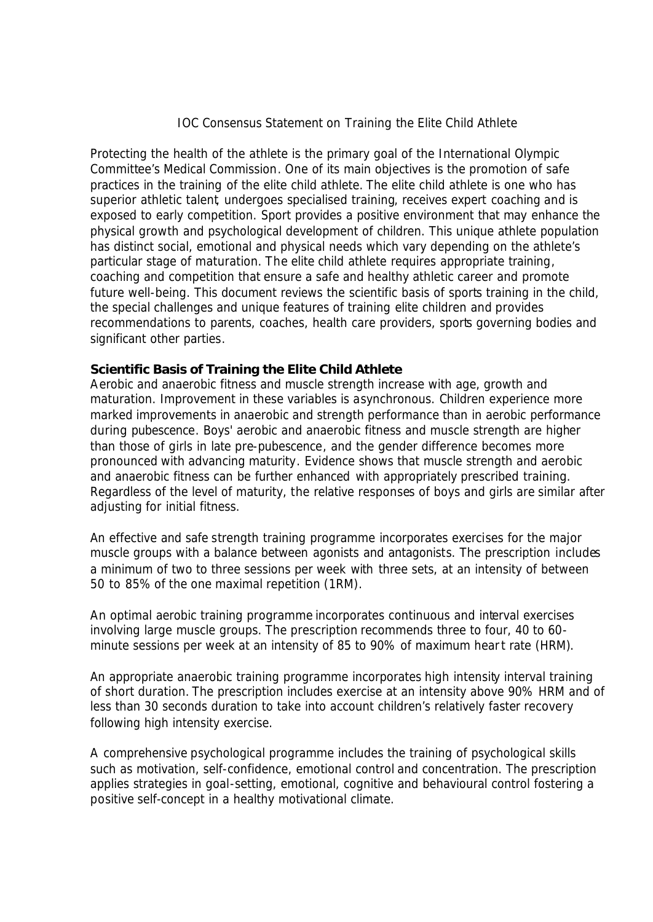## IOC Consensus Statement on Training the Elite Child Athlete

Protecting the health of the athlete is the primary goal of the International Olympic Committee's Medical Commission. One of its main objectives is the promotion of safe practices in the training of the elite child athlete. The elite child athlete is one who has superior athletic talent, undergoes specialised training, receives expert coaching and is exposed to early competition. Sport provides a positive environment that may enhance the physical growth and psychological development of children. This unique athlete population has distinct social, emotional and physical needs which vary depending on the athlete's particular stage of maturation. The elite child athlete requires appropriate training, coaching and competition that ensure a safe and healthy athletic career and promote future well-being. This document reviews the scientific basis of sports training in the child, the special challenges and unique features of training elite children and provides recommendations to parents, coaches, health care providers, sports governing bodies and significant other parties.

## **Scientific Basis of Training the Elite Child Athlete**

Aerobic and anaerobic fitness and muscle strength increase with age, growth and maturation. Improvement in these variables is asynchronous. Children experience more marked improvements in anaerobic and strength performance than in aerobic performance during pubescence. Boys' aerobic and anaerobic fitness and muscle strength are higher than those of girls in late pre-pubescence, and the gender difference becomes more pronounced with advancing maturity. Evidence shows that muscle strength and aerobic and anaerobic fitness can be further enhanced with appropriately prescribed training. Regardless of the level of maturity, the relative responses of boys and girls are similar after adjusting for initial fitness.

An effective and safe strength training programme incorporates exercises for the major muscle groups with a balance between agonists and antagonists. The prescription includes a minimum of two to three sessions per week with three sets, at an intensity of between 50 to 85% of the one maximal repetition (1RM).

An optimal aerobic training programme incorporates continuous and interval exercises involving large muscle groups. The prescription recommends three to four, 40 to 60 minute sessions per week at an intensity of 85 to 90% of maximum heart rate (HRM).

An appropriate anaerobic training programme incorporates high intensity interval training of short duration. The prescription includes exercise at an intensity above 90% HRM and of less than 30 seconds duration to take into account children's relatively faster recovery following high intensity exercise.

A comprehensive psychological programme includes the training of psychological skills such as motivation, self-confidence, emotional control and concentration. The prescription applies strategies in goal-setting, emotional, cognitive and behavioural control fostering a positive self-concept in a healthy motivational climate.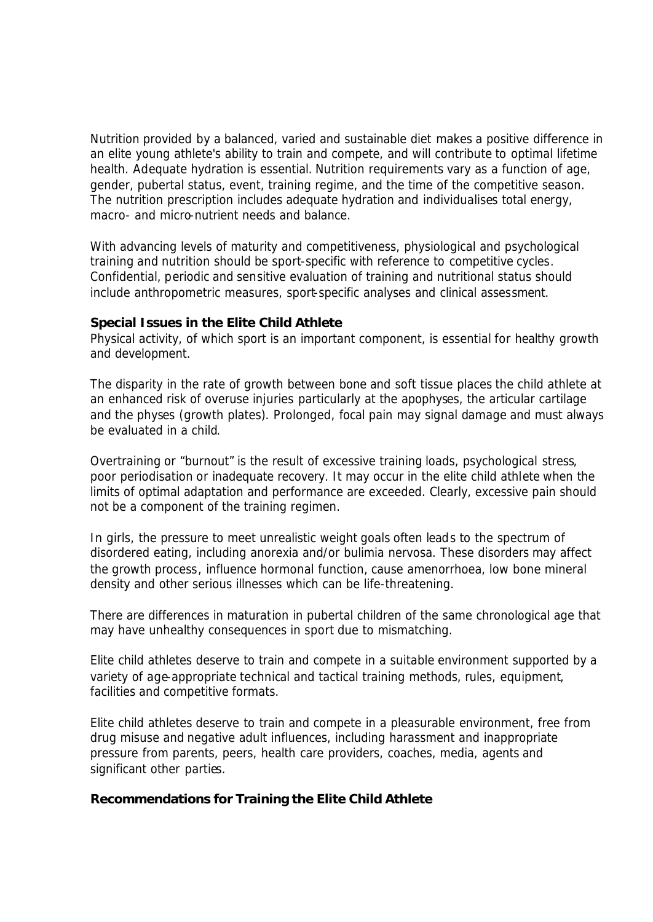Nutrition provided by a balanced, varied and sustainable diet makes a positive difference in an elite young athlete's ability to train and compete, and will contribute to optimal lifetime health. Adequate hydration is essential. Nutrition requirements vary as a function of age, gender, pubertal status, event, training regime, and the time of the competitive season. The nutrition prescription includes adequate hydration and individualises total energy, macro- and micro-nutrient needs and balance.

With advancing levels of maturity and competitiveness, physiological and psychological training and nutrition should be sport-specific with reference to competitive cycles. Confidential, periodic and sensitive evaluation of training and nutritional status should include anthropometric measures, sport-specific analyses and clinical assessment.

## **Special Issues in the Elite Child Athlete**

Physical activity, of which sport is an important component, is essential for healthy growth and development.

The disparity in the rate of growth between bone and soft tissue places the child athlete at an enhanced risk of overuse injuries particularly at the apophyses, the articular cartilage and the physes (growth plates). Prolonged, focal pain may signal damage and must always be evaluated in a child.

Overtraining or "burnout" is the result of excessive training loads, psychological stress, poor periodisation or inadequate recovery. It may occur in the elite child athlete when the limits of optimal adaptation and performance are exceeded. Clearly, excessive pain should not be a component of the training regimen.

In girls, the pressure to meet unrealistic weight goals often leads to the spectrum of disordered eating, including anorexia and/or bulimia nervosa. These disorders may affect the growth process, influence hormonal function, cause amenorrhoea, low bone mineral density and other serious illnesses which can be life-threatening.

There are differences in maturation in pubertal children of the same chronological age that may have unhealthy consequences in sport due to mismatching.

Elite child athletes deserve to train and compete in a suitable environment supported by a variety of age-appropriate technical and tactical training methods, rules, equipment, facilities and competitive formats.

Elite child athletes deserve to train and compete in a pleasurable environment, free from drug misuse and negative adult influences, including harassment and inappropriate pressure from parents, peers, health care providers, coaches, media, agents and significant other parties.

## **Recommendations for Training the Elite Child Athlete**